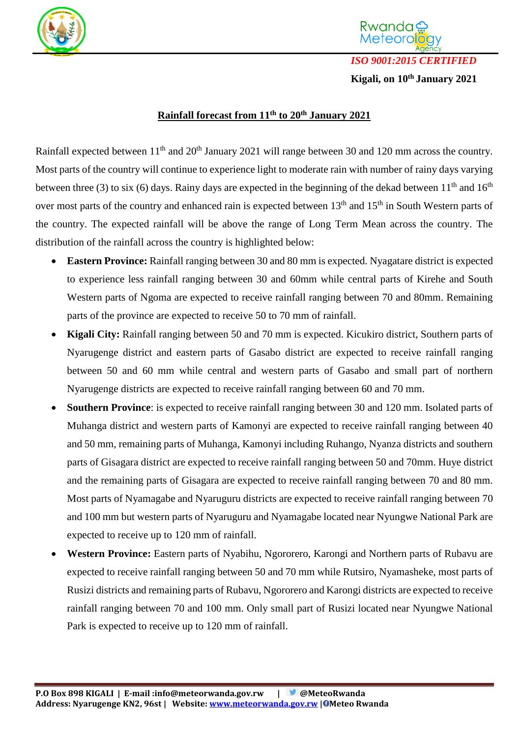



Rwanda

**Kigali, on 10th January 2021**

## **Rainfall forecast from 11th to 20th January 2021**

Rainfall expected between 11<sup>th</sup> and 20<sup>th</sup> January 2021 will range between 30 and 120 mm across the country. Most parts of the country will continue to experience light to moderate rain with number of rainy days varying between three (3) to six (6) days. Rainy days are expected in the beginning of the dekad between  $11<sup>th</sup>$  and  $16<sup>th</sup>$ over most parts of the country and enhanced rain is expected between 13<sup>th</sup> and 15<sup>th</sup> in South Western parts of the country. The expected rainfall will be above the range of Long Term Mean across the country. The distribution of the rainfall across the country is highlighted below:

- **Eastern Province:** Rainfall ranging between 30 and 80 mm is expected. Nyagatare district is expected to experience less rainfall ranging between 30 and 60mm while central parts of Kirehe and South Western parts of Ngoma are expected to receive rainfall ranging between 70 and 80mm. Remaining parts of the province are expected to receive 50 to 70 mm of rainfall.
- **Kigali City:** Rainfall ranging between 50 and 70 mm is expected. Kicukiro district, Southern parts of Nyarugenge district and eastern parts of Gasabo district are expected to receive rainfall ranging between 50 and 60 mm while central and western parts of Gasabo and small part of northern Nyarugenge districts are expected to receive rainfall ranging between 60 and 70 mm.
- **Southern Province**: is expected to receive rainfall ranging between 30 and 120 mm. Isolated parts of Muhanga district and western parts of Kamonyi are expected to receive rainfall ranging between 40 and 50 mm, remaining parts of Muhanga, Kamonyi including Ruhango, Nyanza districts and southern parts of Gisagara district are expected to receive rainfall ranging between 50 and 70mm. Huye district and the remaining parts of Gisagara are expected to receive rainfall ranging between 70 and 80 mm. Most parts of Nyamagabe and Nyaruguru districts are expected to receive rainfall ranging between 70 and 100 mm but western parts of Nyaruguru and Nyamagabe located near Nyungwe National Park are expected to receive up to 120 mm of rainfall.
- **Western Province:** Eastern parts of Nyabihu, Ngororero, Karongi and Northern parts of Rubavu are expected to receive rainfall ranging between 50 and 70 mm while Rutsiro, Nyamasheke, most parts of Rusizi districts and remaining parts of Rubavu, Ngororero and Karongi districts are expected to receive rainfall ranging between 70 and 100 mm. Only small part of Rusizi located near Nyungwe National Park is expected to receive up to 120 mm of rainfall.